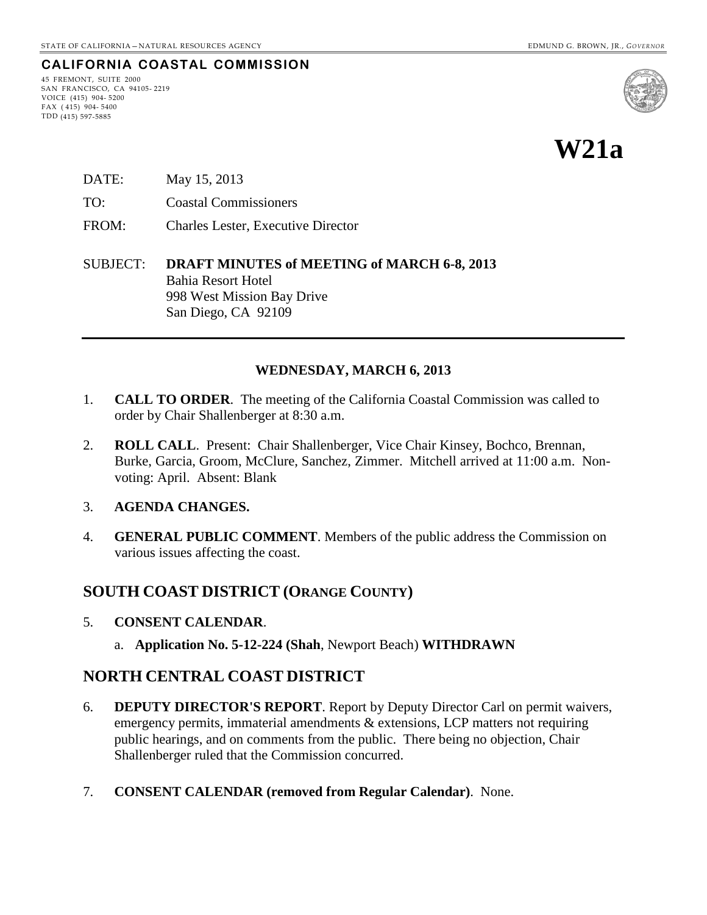#### **CALIFORNIA COASTAL COMMISSION**

45 FREMONT, SUITE 2000 SAN FRANCISCO, CA 94105- 2219 VOICE (415) 904- 5200  $FAX (415) 904 - 5400$ TDD (415) 597-5885



- DATE: May 15, 2013
- TO: Coastal Commissioners
- FROM: Charles Lester, Executive Director
- SUBJECT: **DRAFT MINUTES of MEETING of MARCH 6-8, 2013** Bahia Resort Hotel 998 West Mission Bay Drive San Diego, CA 92109

#### **WEDNESDAY, MARCH 6, 2013**

- 1. **CALL TO ORDER**. The meeting of the California Coastal Commission was called to order by Chair Shallenberger at 8:30 a.m.
- 2. **ROLL CALL**. Present: Chair Shallenberger, Vice Chair Kinsey, Bochco, Brennan, Burke, Garcia, Groom, McClure, Sanchez, Zimmer. Mitchell arrived at 11:00 a.m. Nonvoting: April. Absent: Blank
- 3. **AGENDA CHANGES.**
- 4. **GENERAL PUBLIC COMMENT**. Members of the public address the Commission on various issues affecting the coast.

# **SOUTH COAST DISTRICT (ORANGE COUNTY)**

- 5. **CONSENT CALENDAR**.
	- a. **Application No. 5-12-224 (Shah**, Newport Beach) **WITHDRAWN**

### **NORTH CENTRAL COAST DISTRICT**

- 6. **DEPUTY DIRECTOR'S REPORT**. Report by Deputy Director Carl on permit waivers, emergency permits, immaterial amendments & extensions, LCP matters not requiring public hearings, and on comments from the public. There being no objection, Chair Shallenberger ruled that the Commission concurred.
- 7. **CONSENT CALENDAR (removed from Regular Calendar)**. None.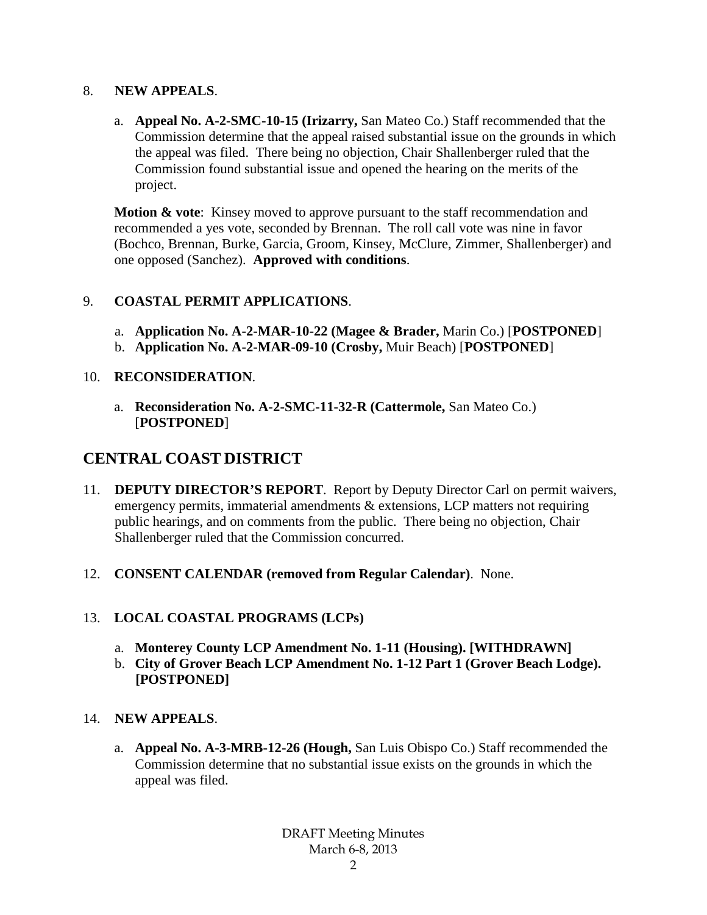#### 8. **NEW APPEALS**.

a. **Appeal No. A-2-SMC-10-15 (Irizarry,** San Mateo Co.) Staff recommended that the Commission determine that the appeal raised substantial issue on the grounds in which the appeal was filed. There being no objection, Chair Shallenberger ruled that the Commission found substantial issue and opened the hearing on the merits of the project.

**Motion & vote**: Kinsey moved to approve pursuant to the staff recommendation and recommended a yes vote, seconded by Brennan. The roll call vote was nine in favor (Bochco, Brennan, Burke, Garcia, Groom, Kinsey, McClure, Zimmer, Shallenberger) and one opposed (Sanchez). **Approved with conditions**.

## 9. **COASTAL PERMIT APPLICATIONS**.

- a. **Application No. A-2-MAR-10-22 (Magee & Brader,** Marin Co.) [**POSTPONED**]
- b. **Application No. A-2-MAR-09-10 (Crosby,** Muir Beach) [**POSTPONED**]

## 10. **RECONSIDERATION**.

a. **Reconsideration No. A-2-SMC-11-32-R (Cattermole,** San Mateo Co.) [**POSTPONED**]

# **CENTRAL COAST DISTRICT**

- 11. **DEPUTY DIRECTOR'S REPORT**. Report by Deputy Director Carl on permit waivers, emergency permits, immaterial amendments & extensions, LCP matters not requiring public hearings, and on comments from the public. There being no objection, Chair Shallenberger ruled that the Commission concurred.
- 12. **CONSENT CALENDAR (removed from Regular Calendar)**. None.

# 13. **LOCAL COASTAL PROGRAMS (LCPs)**

- a. **Monterey County LCP Amendment No. 1-11 (Housing). [WITHDRAWN]**
- b. **City of Grover Beach LCP Amendment No. 1-12 Part 1 (Grover Beach Lodge). [POSTPONED]**

# 14. **NEW APPEALS**.

a. **Appeal No. A-3-MRB-12-26 (Hough,** San Luis Obispo Co.) Staff recommended the Commission determine that no substantial issue exists on the grounds in which the appeal was filed.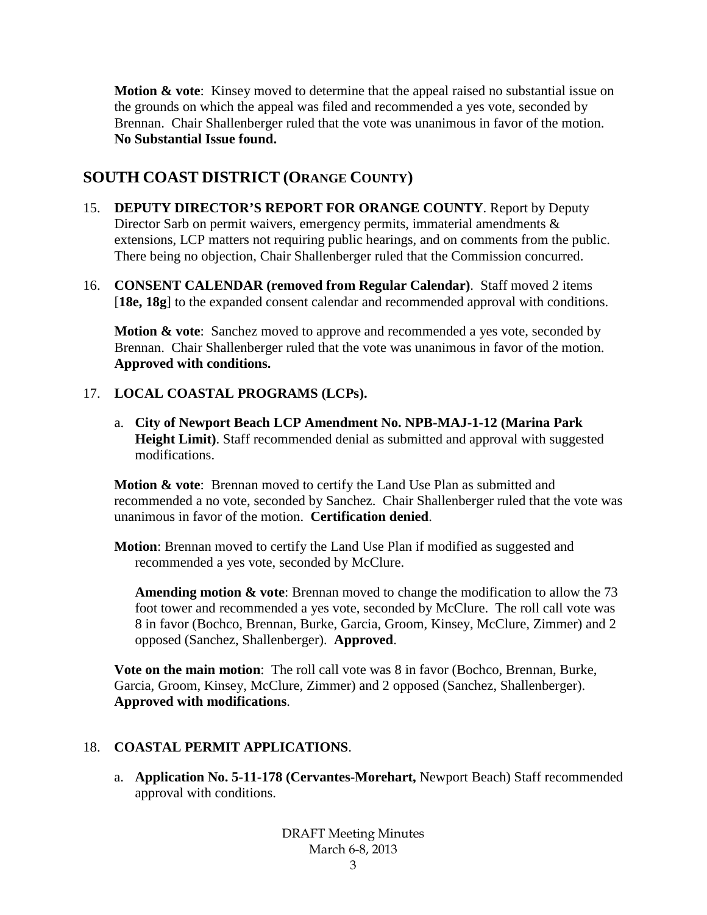**Motion & vote**: Kinsey moved to determine that the appeal raised no substantial issue on the grounds on which the appeal was filed and recommended a yes vote, seconded by Brennan. Chair Shallenberger ruled that the vote was unanimous in favor of the motion. **No Substantial Issue found.**

# **SOUTH COAST DISTRICT (ORANGE COUNTY)**

- 15. **DEPUTY DIRECTOR'S REPORT FOR ORANGE COUNTY**. Report by Deputy Director Sarb on permit waivers, emergency permits, immaterial amendments  $\&$ extensions, LCP matters not requiring public hearings, and on comments from the public. There being no objection, Chair Shallenberger ruled that the Commission concurred.
- 16. **CONSENT CALENDAR (removed from Regular Calendar)**. Staff moved 2 items [**18e, 18g**] to the expanded consent calendar and recommended approval with conditions.

**Motion & vote**: Sanchez moved to approve and recommended a yes vote, seconded by Brennan. Chair Shallenberger ruled that the vote was unanimous in favor of the motion. **Approved with conditions.**

## 17. **LOCAL COASTAL PROGRAMS (LCPs).**

a. **City of Newport Beach LCP Amendment No. NPB-MAJ-1-12 (Marina Park Height Limit)**. Staff recommended denial as submitted and approval with suggested modifications.

**Motion & vote**: Brennan moved to certify the Land Use Plan as submitted and recommended a no vote, seconded by Sanchez. Chair Shallenberger ruled that the vote was unanimous in favor of the motion. **Certification denied**.

**Motion**: Brennan moved to certify the Land Use Plan if modified as suggested and recommended a yes vote, seconded by McClure.

**Amending motion & vote**: Brennan moved to change the modification to allow the 73 foot tower and recommended a yes vote, seconded by McClure. The roll call vote was 8 in favor (Bochco, Brennan, Burke, Garcia, Groom, Kinsey, McClure, Zimmer) and 2 opposed (Sanchez, Shallenberger). **Approved**.

**Vote on the main motion**: The roll call vote was 8 in favor (Bochco, Brennan, Burke, Garcia, Groom, Kinsey, McClure, Zimmer) and 2 opposed (Sanchez, Shallenberger). **Approved with modifications**.

# 18. **COASTAL PERMIT APPLICATIONS**.

a. **Application No. 5-11-178 (Cervantes-Morehart,** Newport Beach) Staff recommended approval with conditions.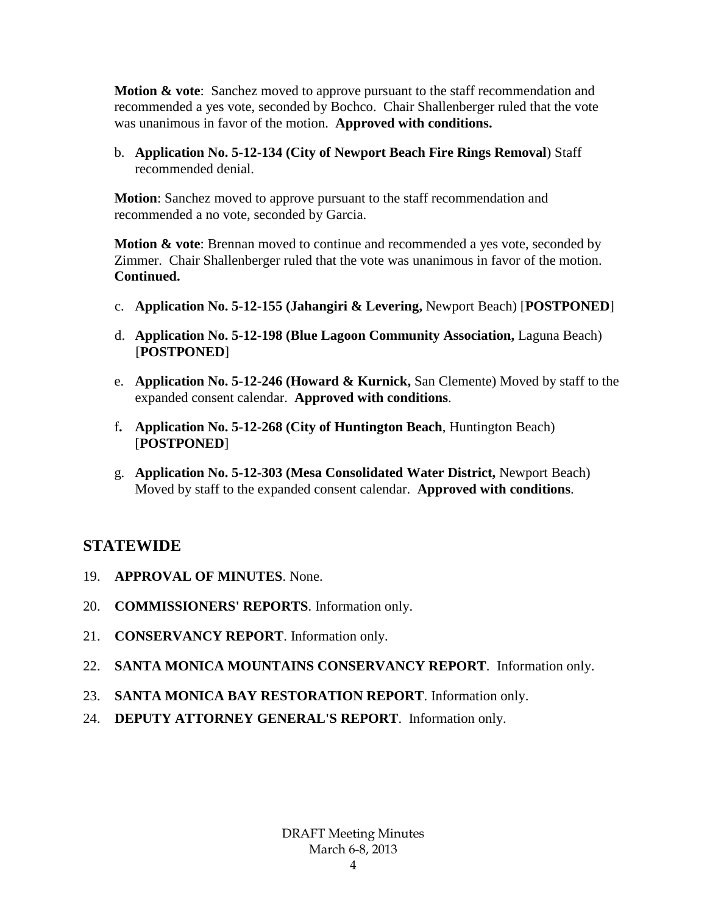**Motion & vote**: Sanchez moved to approve pursuant to the staff recommendation and recommended a yes vote, seconded by Bochco. Chair Shallenberger ruled that the vote was unanimous in favor of the motion. **Approved with conditions.**

b. **Application No. 5-12-134 (City of Newport Beach Fire Rings Removal**) Staff recommended denial.

**Motion**: Sanchez moved to approve pursuant to the staff recommendation and recommended a no vote, seconded by Garcia.

**Motion & vote:** Brennan moved to continue and recommended a yes vote, seconded by Zimmer. Chair Shallenberger ruled that the vote was unanimous in favor of the motion. **Continued.**

- c. **Application No. 5-12-155 (Jahangiri & Levering,** Newport Beach) [**POSTPONED**]
- d. **Application No. 5-12-198 (Blue Lagoon Community Association,** Laguna Beach) [**POSTPONED**]
- e. **Application No. 5-12-246 (Howard & Kurnick,** San Clemente) Moved by staff to the expanded consent calendar. **Approved with conditions**.
- f**. Application No. 5-12-268 (City of Huntington Beach**, Huntington Beach) [**POSTPONED**]
- g. **Application No. 5-12-303 (Mesa Consolidated Water District,** Newport Beach) Moved by staff to the expanded consent calendar. **Approved with conditions**.

# **STATEWIDE**

- 19. **APPROVAL OF MINUTES**. None.
- 20. **COMMISSIONERS' REPORTS**. Information only.
- 21. **CONSERVANCY REPORT**. Information only.
- 22. **SANTA MONICA MOUNTAINS CONSERVANCY REPORT**. Information only.
- 23. **SANTA MONICA BAY RESTORATION REPORT**. Information only.
- 24. **DEPUTY ATTORNEY GENERAL'S REPORT**. Information only.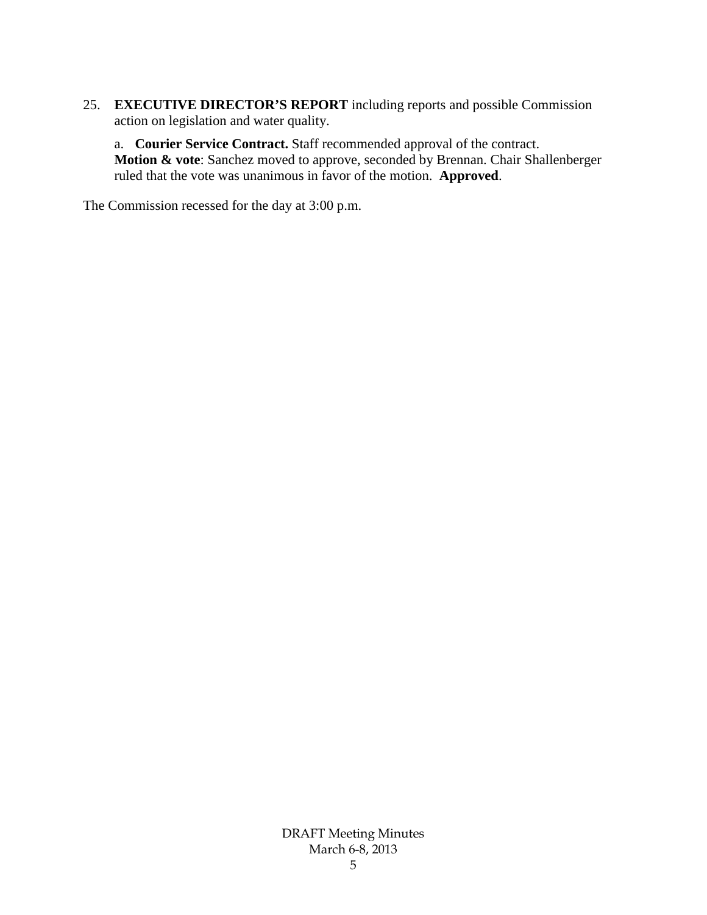25. **EXECUTIVE DIRECTOR'S REPORT** including reports and possible Commission action on legislation and water quality.

a. **Courier Service Contract.** Staff recommended approval of the contract. **Motion & vote**: Sanchez moved to approve, seconded by Brennan. Chair Shallenberger ruled that the vote was unanimous in favor of the motion. **Approved**.

The Commission recessed for the day at 3:00 p.m.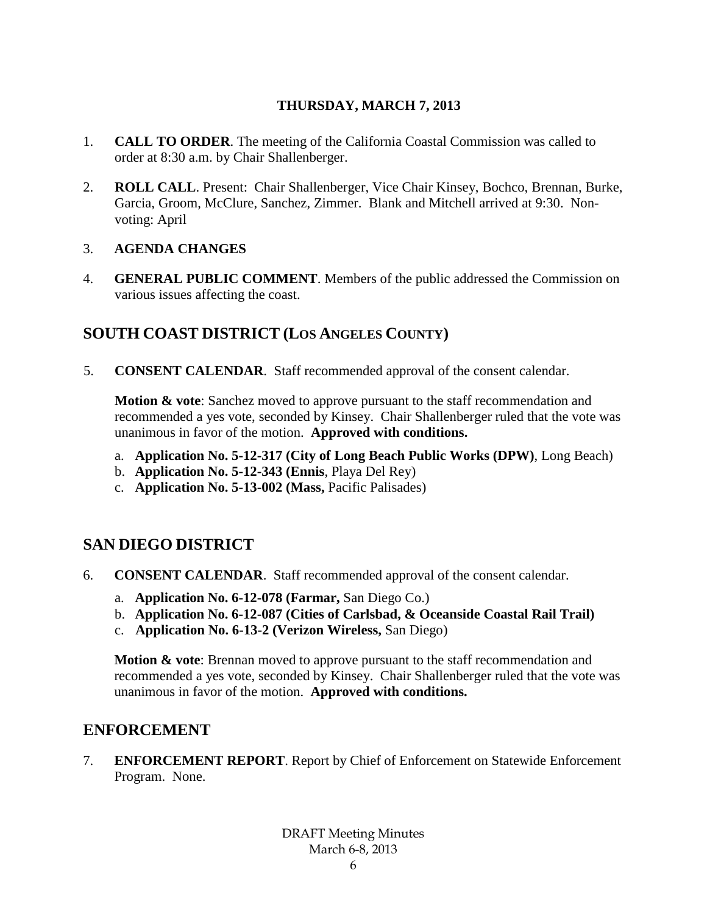## **THURSDAY, MARCH 7, 2013**

- 1. **CALL TO ORDER**. The meeting of the California Coastal Commission was called to order at 8:30 a.m. by Chair Shallenberger.
- 2. **ROLL CALL**. Present: Chair Shallenberger, Vice Chair Kinsey, Bochco, Brennan, Burke, Garcia, Groom, McClure, Sanchez, Zimmer. Blank and Mitchell arrived at 9:30. Nonvoting: April

### 3. **AGENDA CHANGES**

4. **GENERAL PUBLIC COMMENT**. Members of the public addressed the Commission on various issues affecting the coast.

# **SOUTH COAST DISTRICT (LOS ANGELES COUNTY)**

5. **CONSENT CALENDAR**. Staff recommended approval of the consent calendar.

**Motion & vote:** Sanchez moved to approve pursuant to the staff recommendation and recommended a yes vote, seconded by Kinsey. Chair Shallenberger ruled that the vote was unanimous in favor of the motion. **Approved with conditions.**

- a. **Application No. 5-12-317 (City of Long Beach Public Works (DPW)**, Long Beach)
- b. **Application No. 5-12-343 (Ennis**, Playa Del Rey)
- c. **Application No. 5-13-002 (Mass,** Pacific Palisades)

# **SAN DIEGO DISTRICT**

- 6. **CONSENT CALENDAR**. Staff recommended approval of the consent calendar.
	- a. **Application No. 6-12-078 (Farmar,** San Diego Co.)
	- b. **Application No. 6-12-087 (Cities of Carlsbad, & Oceanside Coastal Rail Trail)**
	- c. **Application No. 6-13-2 (Verizon Wireless,** San Diego)

**Motion & vote:** Brennan moved to approve pursuant to the staff recommendation and recommended a yes vote, seconded by Kinsey. Chair Shallenberger ruled that the vote was unanimous in favor of the motion. **Approved with conditions.**

# **ENFORCEMENT**

7. **ENFORCEMENT REPORT**. Report by Chief of Enforcement on Statewide Enforcement Program. None.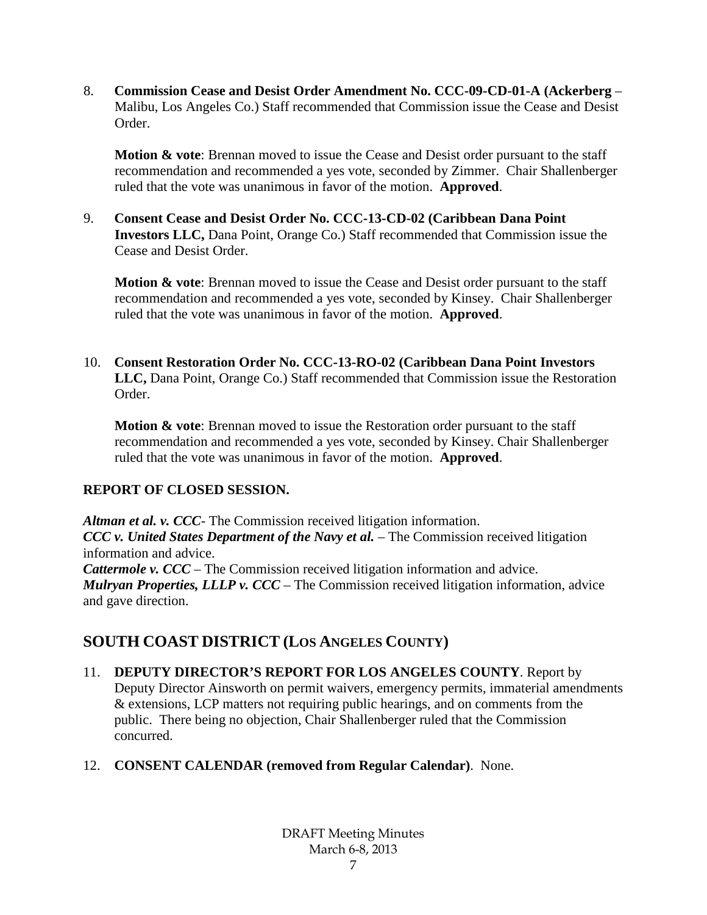8. **Commission Cease and Desist Order Amendment No. CCC-09-CD-01-A (Ackerberg** – Malibu, Los Angeles Co.) Staff recommended that Commission issue the Cease and Desist Order.

**Motion & vote:** Brennan moved to issue the Cease and Desist order pursuant to the staff recommendation and recommended a yes vote, seconded by Zimmer. Chair Shallenberger ruled that the vote was unanimous in favor of the motion. **Approved**.

9. **Consent Cease and Desist Order No. CCC-13-CD-02 (Caribbean Dana Point Investors LLC,** Dana Point, Orange Co.) Staff recommended that Commission issue the Cease and Desist Order.

**Motion & vote:** Brennan moved to issue the Cease and Desist order pursuant to the staff recommendation and recommended a yes vote, seconded by Kinsey. Chair Shallenberger ruled that the vote was unanimous in favor of the motion. **Approved**.

10. **Consent Restoration Order No. CCC-13-RO-02 (Caribbean Dana Point Investors LLC,** Dana Point, Orange Co.) Staff recommended that Commission issue the Restoration Order.

**Motion & vote**: Brennan moved to issue the Restoration order pursuant to the staff recommendation and recommended a yes vote, seconded by Kinsey. Chair Shallenberger ruled that the vote was unanimous in favor of the motion. **Approved**.

# **REPORT OF CLOSED SESSION.**

*Altman et al. v. CCC*- The Commission received litigation information. *CCC v. United States Department of the Navy et al.* – The Commission received litigation information and advice. *Cattermole v. CCC* – The Commission received litigation information and advice. *Mulryan Properties, LLLP v. CCC* – The Commission received litigation information, advice and gave direction.

# **SOUTH COAST DISTRICT (LOS ANGELES COUNTY)**

- 11. **DEPUTY DIRECTOR'S REPORT FOR LOS ANGELES COUNTY**. Report by Deputy Director Ainsworth on permit waivers, emergency permits, immaterial amendments & extensions, LCP matters not requiring public hearings, and on comments from the public. There being no objection, Chair Shallenberger ruled that the Commission concurred.
- 12. **CONSENT CALENDAR (removed from Regular Calendar)**. None.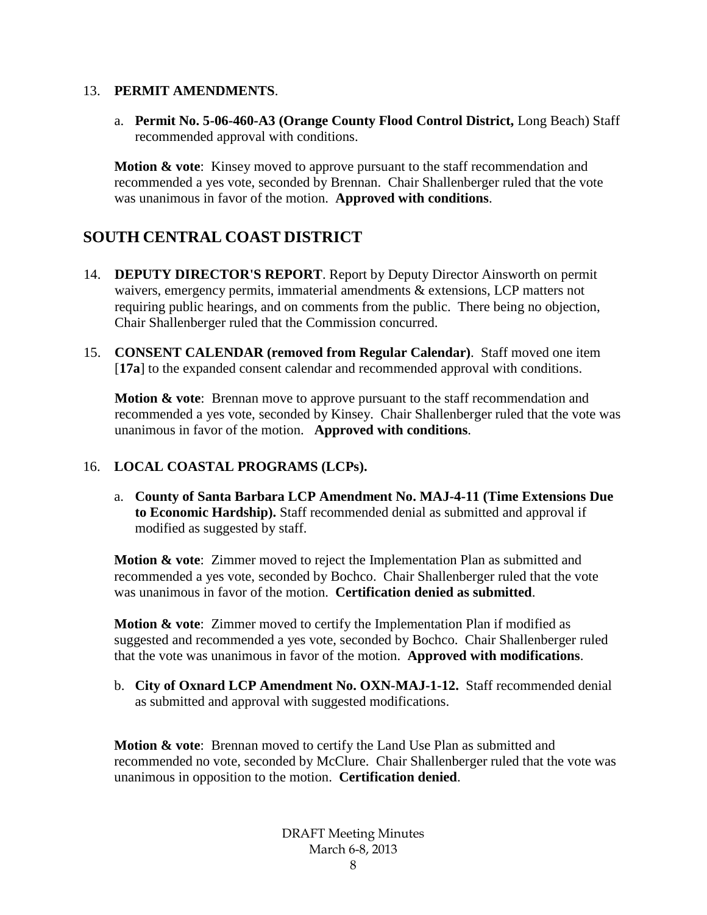#### 13. **PERMIT AMENDMENTS**.

a. **Permit No. 5-06-460-A3 (Orange County Flood Control District,** Long Beach) Staff recommended approval with conditions.

**Motion & vote**: Kinsey moved to approve pursuant to the staff recommendation and recommended a yes vote, seconded by Brennan. Chair Shallenberger ruled that the vote was unanimous in favor of the motion. **Approved with conditions**.

# **SOUTH CENTRAL COAST DISTRICT**

- 14. **DEPUTY DIRECTOR'S REPORT**. Report by Deputy Director Ainsworth on permit waivers, emergency permits, immaterial amendments & extensions, LCP matters not requiring public hearings, and on comments from the public. There being no objection, Chair Shallenberger ruled that the Commission concurred.
- 15. **CONSENT CALENDAR (removed from Regular Calendar)**. Staff moved one item [**17a**] to the expanded consent calendar and recommended approval with conditions.

**Motion & vote**: Brennan move to approve pursuant to the staff recommendation and recommended a yes vote, seconded by Kinsey. Chair Shallenberger ruled that the vote was unanimous in favor of the motion. **Approved with conditions**.

### 16. **LOCAL COASTAL PROGRAMS (LCPs).**

a. **County of Santa Barbara LCP Amendment No. MAJ-4-11 (Time Extensions Due to Economic Hardship).** Staff recommended denial as submitted and approval if modified as suggested by staff.

**Motion & vote**: Zimmer moved to reject the Implementation Plan as submitted and recommended a yes vote, seconded by Bochco. Chair Shallenberger ruled that the vote was unanimous in favor of the motion. **Certification denied as submitted**.

**Motion & vote**: Zimmer moved to certify the Implementation Plan if modified as suggested and recommended a yes vote, seconded by Bochco. Chair Shallenberger ruled that the vote was unanimous in favor of the motion. **Approved with modifications**.

b. **City of Oxnard LCP Amendment No. OXN-MAJ-1-12.** Staff recommended denial as submitted and approval with suggested modifications.

**Motion & vote**: Brennan moved to certify the Land Use Plan as submitted and recommended no vote, seconded by McClure. Chair Shallenberger ruled that the vote was unanimous in opposition to the motion. **Certification denied**.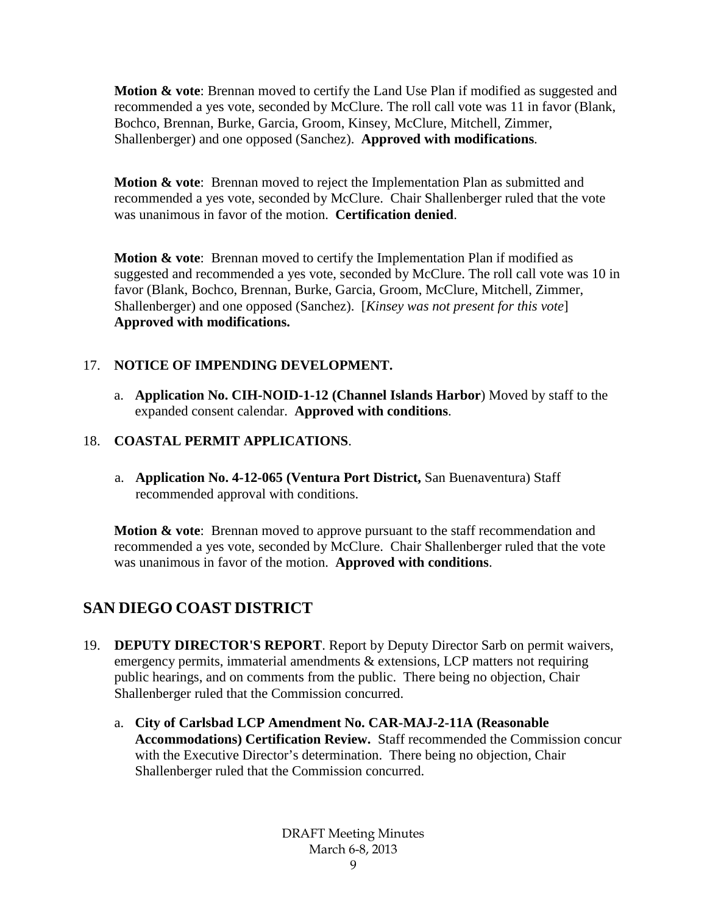**Motion & vote**: Brennan moved to certify the Land Use Plan if modified as suggested and recommended a yes vote, seconded by McClure. The roll call vote was 11 in favor (Blank, Bochco, Brennan, Burke, Garcia, Groom, Kinsey, McClure, Mitchell, Zimmer, Shallenberger) and one opposed (Sanchez). **Approved with modifications**.

**Motion & vote**: Brennan moved to reject the Implementation Plan as submitted and recommended a yes vote, seconded by McClure. Chair Shallenberger ruled that the vote was unanimous in favor of the motion. **Certification denied**.

**Motion & vote:** Brennan moved to certify the Implementation Plan if modified as suggested and recommended a yes vote, seconded by McClure. The roll call vote was 10 in favor (Blank, Bochco, Brennan, Burke, Garcia, Groom, McClure, Mitchell, Zimmer, Shallenberger) and one opposed (Sanchez). [*Kinsey was not present for this vote*] **Approved with modifications.**

# 17. **NOTICE OF IMPENDING DEVELOPMENT.**

a. **Application No. CIH-NOID-1-12 (Channel Islands Harbor**) Moved by staff to the expanded consent calendar. **Approved with conditions**.

### 18. **COASTAL PERMIT APPLICATIONS**.

a. **Application No. 4-12-065 (Ventura Port District,** San Buenaventura) Staff recommended approval with conditions.

**Motion & vote:** Brennan moved to approve pursuant to the staff recommendation and recommended a yes vote, seconded by McClure. Chair Shallenberger ruled that the vote was unanimous in favor of the motion. **Approved with conditions**.

# **SAN DIEGO COAST DISTRICT**

- 19. **DEPUTY DIRECTOR'S REPORT**. Report by Deputy Director Sarb on permit waivers, emergency permits, immaterial amendments & extensions, LCP matters not requiring public hearings, and on comments from the public. There being no objection, Chair Shallenberger ruled that the Commission concurred.
	- a. **City of Carlsbad LCP Amendment No. CAR-MAJ-2-11A (Reasonable Accommodations) Certification Review.** Staff recommended the Commission concur with the Executive Director's determination. There being no objection, Chair Shallenberger ruled that the Commission concurred.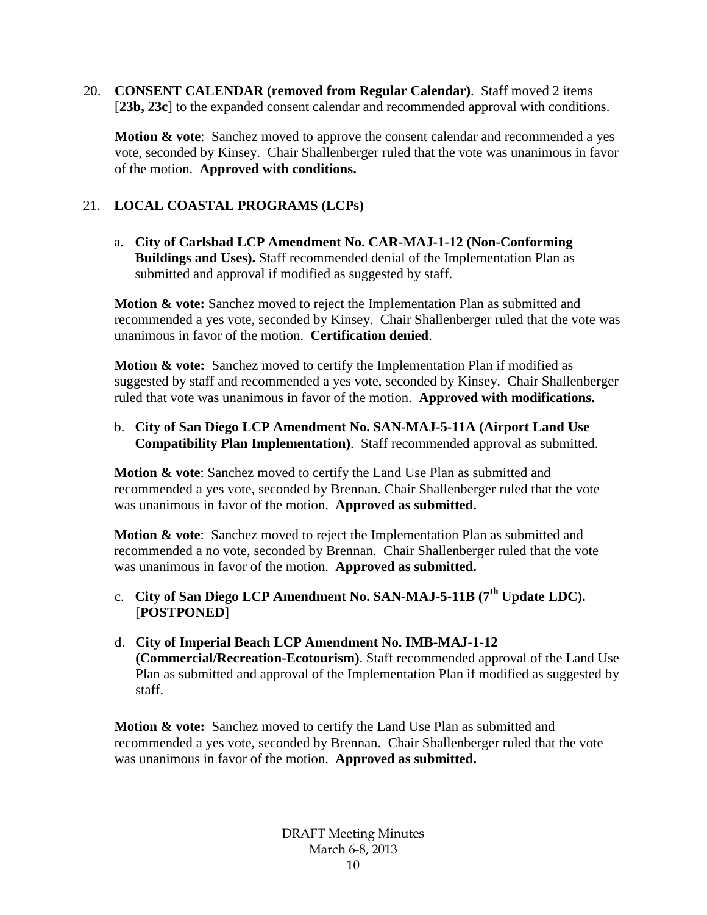20. **CONSENT CALENDAR (removed from Regular Calendar)**. Staff moved 2 items [**23b, 23c**] to the expanded consent calendar and recommended approval with conditions.

**Motion & vote**: Sanchez moved to approve the consent calendar and recommended a yes vote, seconded by Kinsey. Chair Shallenberger ruled that the vote was unanimous in favor of the motion. **Approved with conditions.**

# 21. **LOCAL COASTAL PROGRAMS (LCPs)**

a. **City of Carlsbad LCP Amendment No. CAR-MAJ-1-12 (Non-Conforming Buildings and Uses).** Staff recommended denial of the Implementation Plan as submitted and approval if modified as suggested by staff.

**Motion & vote:** Sanchez moved to reject the Implementation Plan as submitted and recommended a yes vote, seconded by Kinsey. Chair Shallenberger ruled that the vote was unanimous in favor of the motion. **Certification denied**.

**Motion & vote:** Sanchez moved to certify the Implementation Plan if modified as suggested by staff and recommended a yes vote, seconded by Kinsey. Chair Shallenberger ruled that vote was unanimous in favor of the motion. **Approved with modifications.**

b. **City of San Diego LCP Amendment No. SAN-MAJ-5-11A (Airport Land Use Compatibility Plan Implementation)**. Staff recommended approval as submitted.

**Motion & vote**: Sanchez moved to certify the Land Use Plan as submitted and recommended a yes vote, seconded by Brennan. Chair Shallenberger ruled that the vote was unanimous in favor of the motion. **Approved as submitted.**

**Motion & vote**: Sanchez moved to reject the Implementation Plan as submitted and recommended a no vote, seconded by Brennan. Chair Shallenberger ruled that the vote was unanimous in favor of the motion. **Approved as submitted.**

- c. **City of San Diego LCP Amendment No. SAN-MAJ-5-11B (7th Update LDC).** [**POSTPONED**]
- d. **City of Imperial Beach LCP Amendment No. IMB-MAJ-1-12 (Commercial/Recreation-Ecotourism)**. Staff recommended approval of the Land Use Plan as submitted and approval of the Implementation Plan if modified as suggested by staff.

**Motion & vote:** Sanchez moved to certify the Land Use Plan as submitted and recommended a yes vote, seconded by Brennan. Chair Shallenberger ruled that the vote was unanimous in favor of the motion. **Approved as submitted.**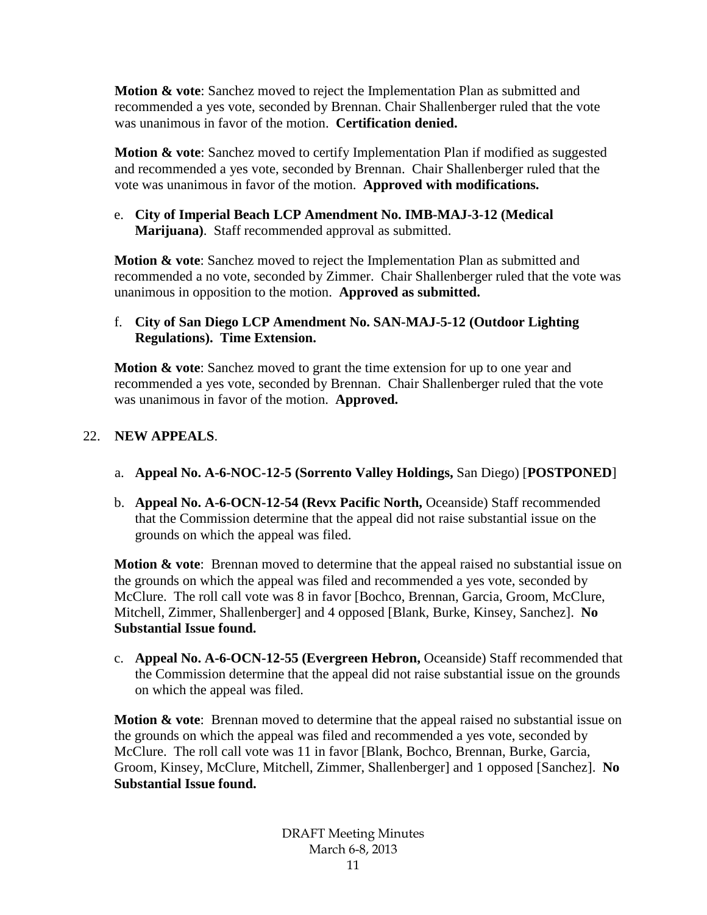**Motion & vote**: Sanchez moved to reject the Implementation Plan as submitted and recommended a yes vote, seconded by Brennan. Chair Shallenberger ruled that the vote was unanimous in favor of the motion. **Certification denied.**

**Motion & vote**: Sanchez moved to certify Implementation Plan if modified as suggested and recommended a yes vote, seconded by Brennan. Chair Shallenberger ruled that the vote was unanimous in favor of the motion. **Approved with modifications.**

#### e. **City of Imperial Beach LCP Amendment No. IMB-MAJ-3-12 (Medical Marijuana)**. Staff recommended approval as submitted.

**Motion & vote**: Sanchez moved to reject the Implementation Plan as submitted and recommended a no vote, seconded by Zimmer. Chair Shallenberger ruled that the vote was unanimous in opposition to the motion. **Approved as submitted.**

## f. **City of San Diego LCP Amendment No. SAN-MAJ-5-12 (Outdoor Lighting Regulations). Time Extension.**

**Motion & vote**: Sanchez moved to grant the time extension for up to one year and recommended a yes vote, seconded by Brennan. Chair Shallenberger ruled that the vote was unanimous in favor of the motion. **Approved.**

## 22. **NEW APPEALS**.

- a. **Appeal No. A-6-NOC-12-5 (Sorrento Valley Holdings,** San Diego) [**POSTPONED**]
- b. **Appeal No. A-6-OCN-12-54 (Revx Pacific North,** Oceanside) Staff recommended that the Commission determine that the appeal did not raise substantial issue on the grounds on which the appeal was filed.

**Motion & vote:** Brennan moved to determine that the appeal raised no substantial issue on the grounds on which the appeal was filed and recommended a yes vote, seconded by McClure. The roll call vote was 8 in favor [Bochco, Brennan, Garcia, Groom, McClure, Mitchell, Zimmer, Shallenberger] and 4 opposed [Blank, Burke, Kinsey, Sanchez]. **No Substantial Issue found.**

c. **Appeal No. A-6-OCN-12-55 (Evergreen Hebron,** Oceanside) Staff recommended that the Commission determine that the appeal did not raise substantial issue on the grounds on which the appeal was filed.

**Motion & vote**: Brennan moved to determine that the appeal raised no substantial issue on the grounds on which the appeal was filed and recommended a yes vote, seconded by McClure. The roll call vote was 11 in favor [Blank, Bochco, Brennan, Burke, Garcia, Groom, Kinsey, McClure, Mitchell, Zimmer, Shallenberger] and 1 opposed [Sanchez]. **No Substantial Issue found.**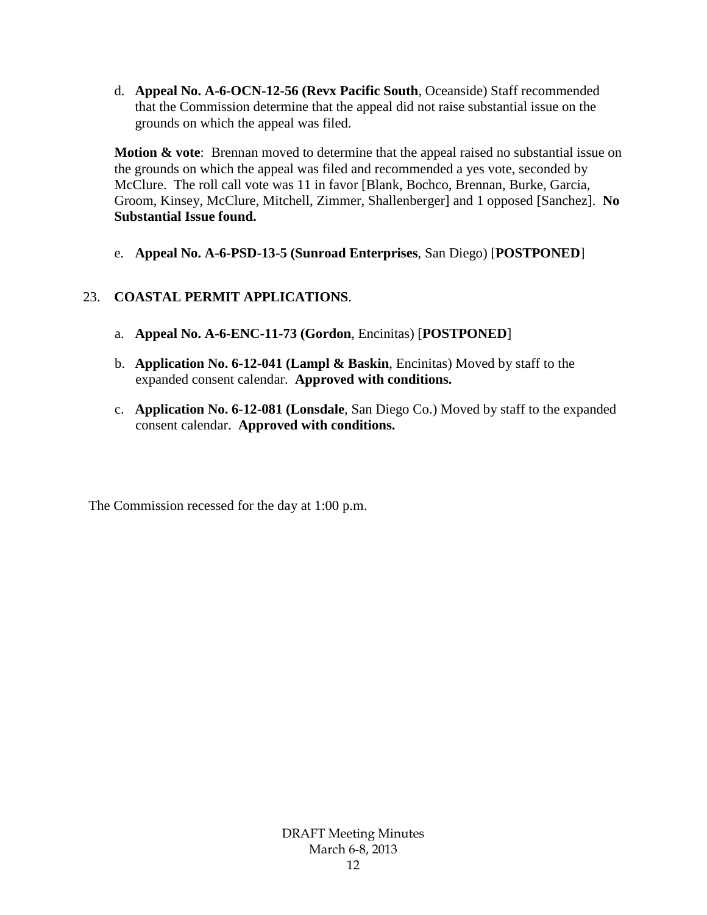d. **Appeal No. A-6-OCN-12-56 (Revx Pacific South**, Oceanside) Staff recommended that the Commission determine that the appeal did not raise substantial issue on the grounds on which the appeal was filed.

**Motion & vote**: Brennan moved to determine that the appeal raised no substantial issue on the grounds on which the appeal was filed and recommended a yes vote, seconded by McClure. The roll call vote was 11 in favor [Blank, Bochco, Brennan, Burke, Garcia, Groom, Kinsey, McClure, Mitchell, Zimmer, Shallenberger] and 1 opposed [Sanchez]. **No Substantial Issue found.**

e. **Appeal No. A-6-PSD-13-5 (Sunroad Enterprises**, San Diego) [**POSTPONED**]

# 23. **COASTAL PERMIT APPLICATIONS**.

- a. **Appeal No. A-6-ENC-11-73 (Gordon**, Encinitas) [**POSTPONED**]
- b. **Application No. 6-12-041 (Lampl & Baskin**, Encinitas) Moved by staff to the expanded consent calendar. **Approved with conditions.**
- c. **Application No. 6-12-081 (Lonsdale**, San Diego Co.) Moved by staff to the expanded consent calendar. **Approved with conditions.**

The Commission recessed for the day at 1:00 p.m.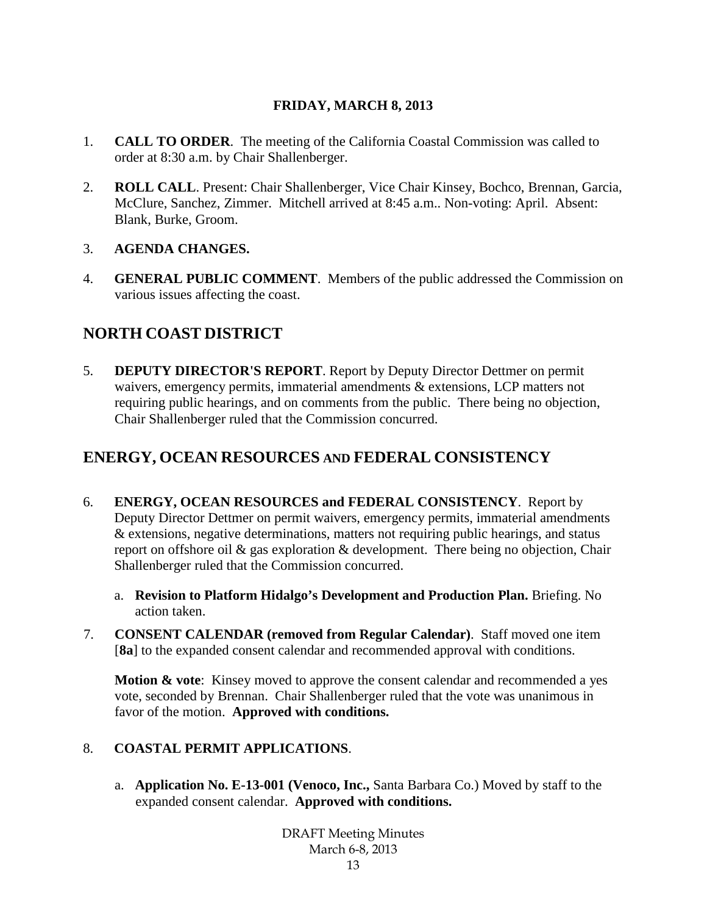## **FRIDAY, MARCH 8, 2013**

- 1. **CALL TO ORDER**. The meeting of the California Coastal Commission was called to order at 8:30 a.m. by Chair Shallenberger.
- 2. **ROLL CALL**. Present: Chair Shallenberger, Vice Chair Kinsey, Bochco, Brennan, Garcia, McClure, Sanchez, Zimmer. Mitchell arrived at 8:45 a.m.. Non-voting: April. Absent: Blank, Burke, Groom.

## 3. **AGENDA CHANGES.**

4. **GENERAL PUBLIC COMMENT**. Members of the public addressed the Commission on various issues affecting the coast.

# **NORTH COAST DISTRICT**

5. **DEPUTY DIRECTOR'S REPORT**. Report by Deputy Director Dettmer on permit waivers, emergency permits, immaterial amendments & extensions, LCP matters not requiring public hearings, and on comments from the public. There being no objection, Chair Shallenberger ruled that the Commission concurred.

# **ENERGY, OCEAN RESOURCES AND FEDERAL CONSISTENCY**

- 6. **ENERGY, OCEAN RESOURCES and FEDERAL CONSISTENCY**. Report by Deputy Director Dettmer on permit waivers, emergency permits, immaterial amendments & extensions, negative determinations, matters not requiring public hearings, and status report on offshore oil & gas exploration & development. There being no objection, Chair Shallenberger ruled that the Commission concurred.
	- a. **Revision to Platform Hidalgo's Development and Production Plan.** Briefing. No action taken.
- 7. **CONSENT CALENDAR (removed from Regular Calendar)**. Staff moved one item [**8a**] to the expanded consent calendar and recommended approval with conditions.

**Motion & vote:** Kinsey moved to approve the consent calendar and recommended a yes vote, seconded by Brennan. Chair Shallenberger ruled that the vote was unanimous in favor of the motion. **Approved with conditions.**

### 8. **COASTAL PERMIT APPLICATIONS**.

a. **Application No. E-13-001 (Venoco, Inc.,** Santa Barbara Co.) Moved by staff to the expanded consent calendar. **Approved with conditions.**